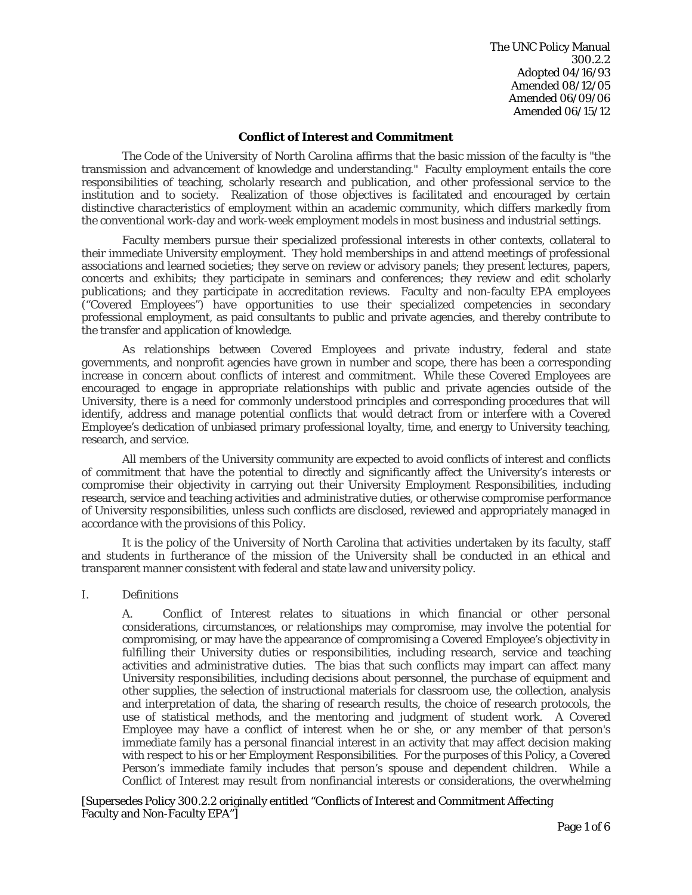The UNC Policy Manual 300.2.2 Adopted 04/16/93 Amended 08/12/05 Amended 06/09/06 Amended 06/15/12

#### **Conflict of Interest and Commitment**

*The Code of the University of North Carolina* affirms that the basic mission of the faculty is "the transmission and advancement of knowledge and understanding." Faculty employment entails the core responsibilities of teaching, scholarly research and publication, and other professional service to the institution and to society. Realization of those objectives is facilitated and encouraged by certain distinctive characteristics of employment within an academic community, which differs markedly from the conventional work-day and work-week employment models in most business and industrial settings.

Faculty members pursue their specialized professional interests in other contexts, collateral to their immediate University employment. They hold memberships in and attend meetings of professional associations and learned societies; they serve on review or advisory panels; they present lectures, papers, concerts and exhibits; they participate in seminars and conferences; they review and edit scholarly publications; and they participate in accreditation reviews. Faculty and non-faculty EPA employees ("Covered Employees") have opportunities to use their specialized competencies in secondary professional employment, as paid consultants to public and private agencies, and thereby contribute to the transfer and application of knowledge.

As relationships between Covered Employees and private industry, federal and state governments, and nonprofit agencies have grown in number and scope, there has been a corresponding increase in concern about conflicts of interest and commitment. While these Covered Employees are encouraged to engage in appropriate relationships with public and private agencies outside of the University, there is a need for commonly understood principles and corresponding procedures that will identify, address and manage potential conflicts that would detract from or interfere with a Covered Employee's dedication of unbiased primary professional loyalty, time, and energy to University teaching, research, and service.

All members of the University community are expected to avoid conflicts of interest and conflicts of commitment that have the potential to directly and significantly affect the University's interests or compromise their objectivity in carrying out their University Employment Responsibilities, including research, service and teaching activities and administrative duties, or otherwise compromise performance of University responsibilities, unless such conflicts are disclosed, reviewed and appropriately managed in accordance with the provisions of this Policy.

It is the policy of the University of North Carolina that activities undertaken by its faculty, staff and students in furtherance of the mission of the University shall be conducted in an ethical and transparent manner consistent with federal and state law and university policy.

I. Definitions

A. *Conflict of Interest* relates to situations in which financial or other personal considerations, circumstances, or relationships may compromise, may involve the potential for compromising, or may have the appearance of compromising a Covered Employee's objectivity in fulfilling their University duties or responsibilities, including research, service and teaching activities and administrative duties. The bias that such conflicts may impart can affect many University responsibilities, including decisions about personnel, the purchase of equipment and other supplies, the selection of instructional materials for classroom use, the collection, analysis and interpretation of data, the sharing of research results, the choice of research protocols, the use of statistical methods, and the mentoring and judgment of student work. A Covered Employee may have a conflict of interest when he or she, or any member of that person's immediate family has a personal financial interest in an activity that may affect decision making with respect to his or her Employment Responsibilities. For the purposes of this Policy, a Covered Person's immediate family includes that person's spouse and dependent children. While a Conflict of Interest may result from nonfinancial interests or considerations, the overwhelming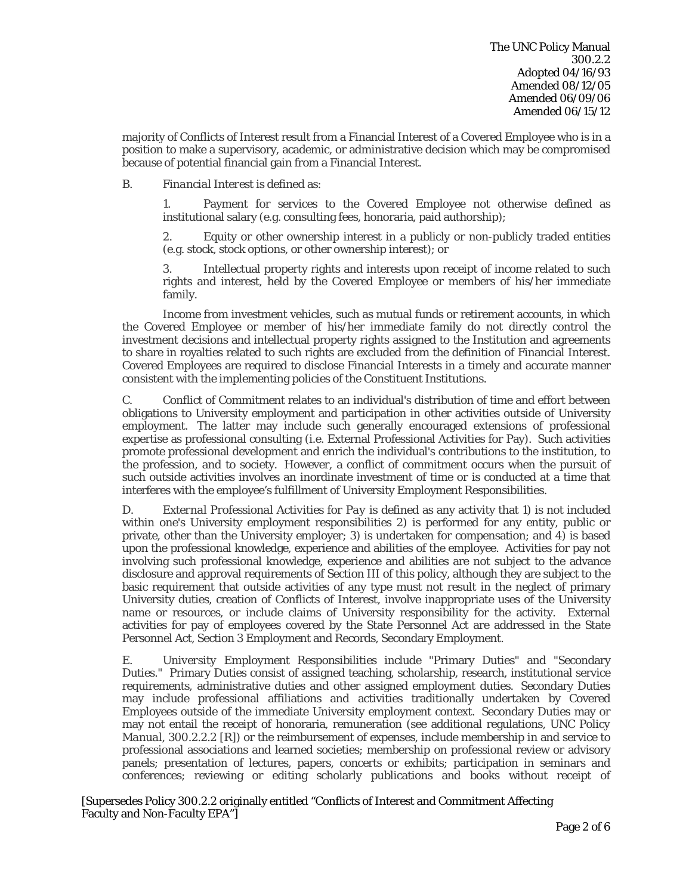majority of Conflicts of Interest result from a Financial Interest of a Covered Employee who is in a position to make a supervisory, academic, or administrative decision which may be compromised because of potential financial gain from a Financial Interest.

## B. *Financial Interest* is defined as:

1. Payment for services to the Covered Employee not otherwise defined as institutional salary (e.g. consulting fees, honoraria, paid authorship);

2. Equity or other ownership interest in a publicly or non-publicly traded entities (e.g. stock, stock options, or other ownership interest); or

3. Intellectual property rights and interests upon receipt of income related to such rights and interest, held by the Covered Employee or members of his/her immediate family.

Income from investment vehicles, such as mutual funds or retirement accounts, in which the Covered Employee or member of his/her immediate family do not directly control the investment decisions and intellectual property rights assigned to the Institution and agreements to share in royalties related to such rights are excluded from the definition of Financial Interest. Covered Employees are required to disclose Financial Interests in a timely and accurate manner consistent with the implementing policies of the Constituent Institutions.

C. *Conflict of Commitment* relates to an individual's distribution of time and effort between obligations to University employment and participation in other activities outside of University employment. The latter may include such generally encouraged extensions of professional expertise as professional consulting (i.e. External Professional Activities for Pay). Such activities promote professional development and enrich the individual's contributions to the institution, to the profession, and to society. However, a conflict of commitment occurs when the pursuit of such outside activities involves an inordinate investment of time or is conducted at a time that interferes with the employee's fulfillment of University Employment Responsibilities.

D. *External Professional Activities for Pay* is defined as any activity that 1) is not included within one's University employment responsibilities 2) is performed for any entity, public or private, other than the University employer; 3) is undertaken for compensation; and 4) is based upon the professional knowledge, experience and abilities of the employee. Activities for pay not involving such professional knowledge, experience and abilities are not subject to the advance disclosure and approval requirements of Section III of this policy, although they are subject to the basic requirement that outside activities of any type must not result in the neglect of primary University duties, creation of Conflicts of Interest, involve inappropriate uses of the University name or resources, or include claims of University responsibility for the activity. External activities for pay of employees covered by the State Personnel Act are addressed in the State Personnel Act, Section 3 Employment and Records, Secondary Employment.

E. *University Employment Responsibilities* include "Primary Duties" and "Secondary Duties." Primary Duties consist of assigned teaching, scholarship, research, institutional service requirements, administrative duties and other assigned employment duties. Secondary Duties may include professional affiliations and activities traditionally undertaken by Covered Employees outside of the immediate University employment context. Secondary Duties may or may not entail the receipt of honoraria, remuneration (see additional regulations, *UNC Policy Manual,* 300.2.2.2 [R]) or the reimbursement of expenses, include membership in and service to professional associations and learned societies; membership on professional review or advisory panels; presentation of lectures, papers, concerts or exhibits; participation in seminars and conferences; reviewing or editing scholarly publications and books without receipt of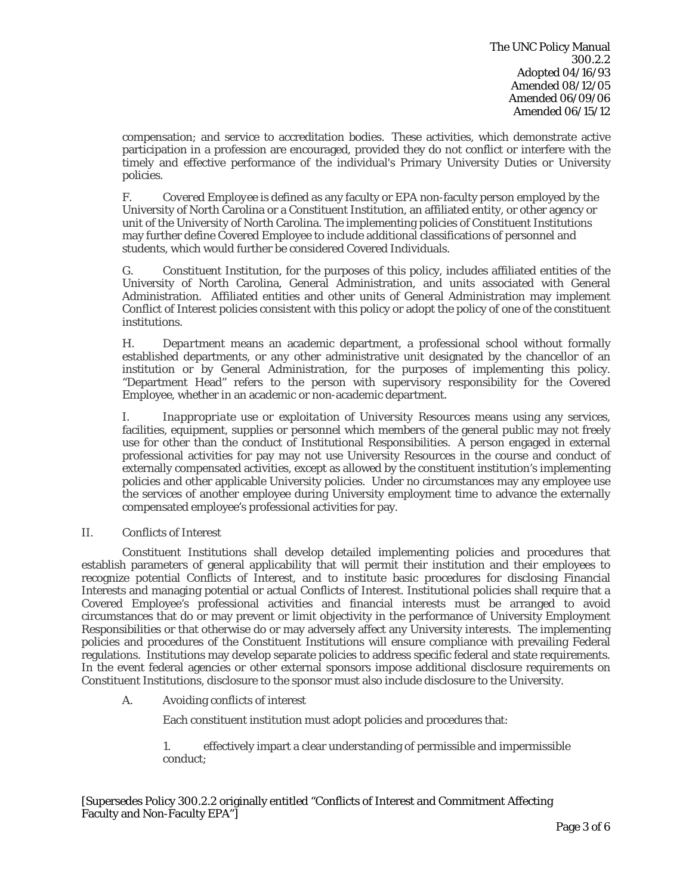compensation; and service to accreditation bodies. These activities, which demonstrate active participation in a profession are encouraged, provided they do not conflict or interfere with the timely and effective performance of the individual's Primary University Duties or University policies.

F. *Covered Employee* is defined as any faculty or EPA non-faculty person employed by the University of North Carolina or a Constituent Institution, an affiliated entity, or other agency or unit of the University of North Carolina. The implementing policies of Constituent Institutions may further define Covered Employee to include additional classifications of personnel and students, which would further be considered Covered Individuals.

G. *Constituent Institution*, for the purposes of this policy, includes affiliated entities of the University of North Carolina, General Administration, and units associated with General Administration. Affiliated entities and other units of General Administration may implement Conflict of Interest policies consistent with this policy or adopt the policy of one of the constituent institutions.

H. *Department* means an academic department, a professional school without formally established departments, or any other administrative unit designated by the chancellor of an institution or by General Administration, for the purposes of implementing this policy. "Department Head" refers to the person with supervisory responsibility for the Covered Employee, whether in an academic or non-academic department.

I. *Inappropriate use or exploitation of University Resources* means using any services, facilities, equipment, supplies or personnel which members of the general public may not freely use for other than the conduct of Institutional Responsibilities. A person engaged in external professional activities for pay may not use University Resources in the course and conduct of externally compensated activities, except as allowed by the constituent institution's implementing policies and other applicable University policies. Under no circumstances may any employee use the services of another employee during University employment time to advance the externally compensated employee's professional activities for pay.

# II. Conflicts of Interest

Constituent Institutions shall develop detailed implementing policies and procedures that establish parameters of general applicability that will permit their institution and their employees to recognize potential Conflicts of Interest, and to institute basic procedures for disclosing Financial Interests and managing potential or actual Conflicts of Interest. Institutional policies shall require that a Covered Employee's professional activities and financial interests must be arranged to avoid circumstances that do or may prevent or limit objectivity in the performance of University Employment Responsibilities or that otherwise do or may adversely affect any University interests. The implementing policies and procedures of the Constituent Institutions will ensure compliance with prevailing Federal regulations. Institutions may develop separate policies to address specific federal and state requirements. In the event federal agencies or other external sponsors impose additional disclosure requirements on Constituent Institutions, disclosure to the sponsor must also include disclosure to the University.

# A. Avoiding conflicts of interest

Each constituent institution must adopt policies and procedures that:

1. effectively impart a clear understanding of permissible and impermissible conduct;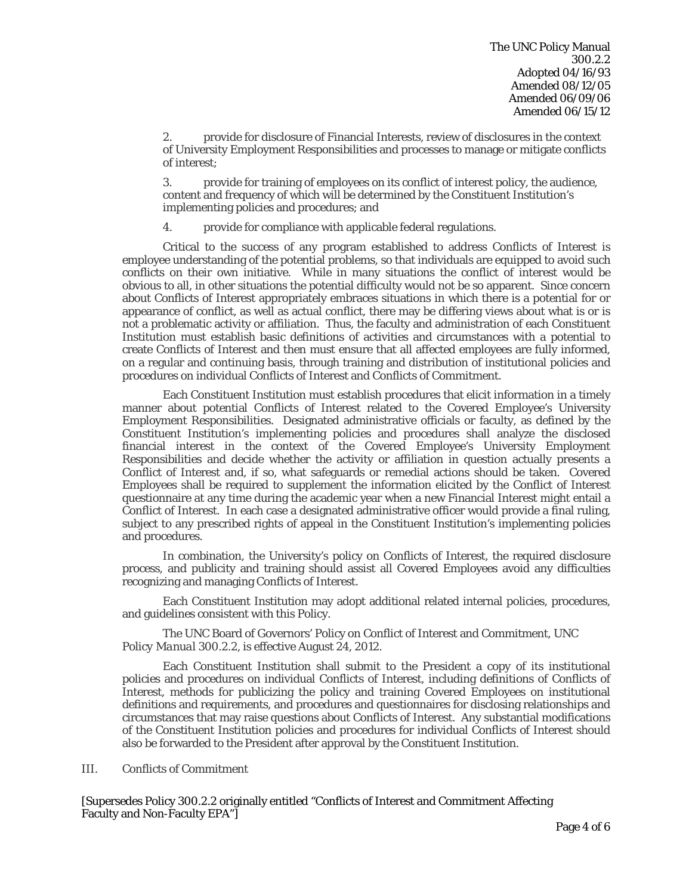2. provide for disclosure of Financial Interests, review of disclosures in the context of University Employment Responsibilities and processes to manage or mitigate conflicts of interest;

3. provide for training of employees on its conflict of interest policy, the audience, content and frequency of which will be determined by the Constituent Institution's implementing policies and procedures; and

4. provide for compliance with applicable federal regulations.

Critical to the success of any program established to address Conflicts of Interest is employee understanding of the potential problems, so that individuals are equipped to avoid such conflicts on their own initiative. While in many situations the conflict of interest would be obvious to all, in other situations the potential difficulty would not be so apparent. Since concern about Conflicts of Interest appropriately embraces situations in which there is a potential for or appearance of conflict, as well as actual conflict, there may be differing views about what is or is not a problematic activity or affiliation. Thus, the faculty and administration of each Constituent Institution must establish basic definitions of activities and circumstances with a potential to create Conflicts of Interest and then must ensure that all affected employees are fully informed, on a regular and continuing basis, through training and distribution of institutional policies and procedures on individual Conflicts of Interest and Conflicts of Commitment.

Each Constituent Institution must establish procedures that elicit information in a timely manner about potential Conflicts of Interest related to the Covered Employee's University Employment Responsibilities. Designated administrative officials or faculty, as defined by the Constituent Institution's implementing policies and procedures shall analyze the disclosed financial interest in the context of the Covered Employee's University Employment Responsibilities and decide whether the activity or affiliation in question actually presents a Conflict of Interest and, if so, what safeguards or remedial actions should be taken. Covered Employees shall be required to supplement the information elicited by the Conflict of Interest questionnaire at any time during the academic year when a new Financial Interest might entail a Conflict of Interest. In each case a designated administrative officer would provide a final ruling, subject to any prescribed rights of appeal in the Constituent Institution's implementing policies and procedures.

In combination, the University's policy on Conflicts of Interest, the required disclosure process, and publicity and training should assist all Covered Employees avoid any difficulties recognizing and managing Conflicts of Interest.

Each Constituent Institution may adopt additional related internal policies, procedures, and guidelines consistent with this Policy.

The UNC Board of Governors' Policy on Conflict of Interest and Commitment, *UNC Policy Manual* 300.2.2, is effective August 24, 2012.

Each Constituent Institution shall submit to the President a copy of its institutional policies and procedures on individual Conflicts of Interest, including definitions of Conflicts of Interest, methods for publicizing the policy and training Covered Employees on institutional definitions and requirements, and procedures and questionnaires for disclosing relationships and circumstances that may raise questions about Conflicts of Interest. Any substantial modifications of the Constituent Institution policies and procedures for individual Conflicts of Interest should also be forwarded to the President after approval by the Constituent Institution.

#### III. Conflicts of Commitment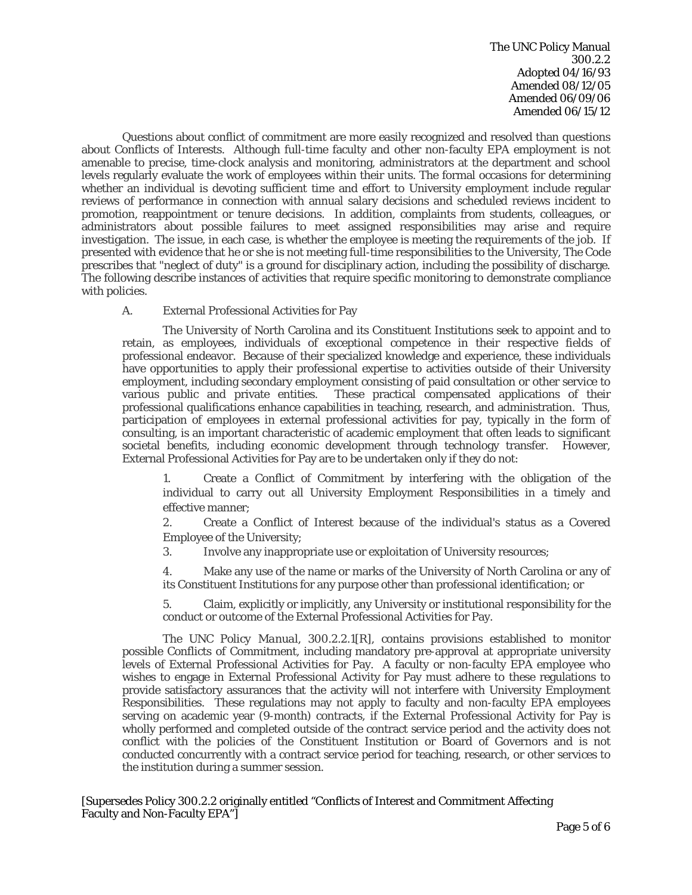The UNC Policy Manual 300.2.2 Adopted 04/16/93 Amended 08/12/05 Amended 06/09/06 Amended 06/15/12

Questions about conflict of commitment are more easily recognized and resolved than questions about Conflicts of Interests. Although full-time faculty and other non-faculty EPA employment is not amenable to precise, time-clock analysis and monitoring, administrators at the department and school levels regularly evaluate the work of employees within their units. The formal occasions for determining whether an individual is devoting sufficient time and effort to University employment include regular reviews of performance in connection with annual salary decisions and scheduled reviews incident to promotion, reappointment or tenure decisions. In addition, complaints from students, colleagues, or administrators about possible failures to meet assigned responsibilities may arise and require investigation. The issue, in each case, is whether the employee is meeting the requirements of the job. If presented with evidence that he or she is not meeting full-time responsibilities to the University, *The Code* prescribes that "neglect of duty" is a ground for disciplinary action, including the possibility of discharge. The following describe instances of activities that require specific monitoring to demonstrate compliance with policies.

### A. External Professional Activities for Pay

The University of North Carolina and its Constituent Institutions seek to appoint and to retain, as employees, individuals of exceptional competence in their respective fields of professional endeavor. Because of their specialized knowledge and experience, these individuals have opportunities to apply their professional expertise to activities outside of their University employment, including secondary employment consisting of paid consultation or other service to various public and private entities. These practical compensated applications of their professional qualifications enhance capabilities in teaching, research, and administration. Thus, participation of employees in external professional activities for pay, typically in the form of consulting, is an important characteristic of academic employment that often leads to significant societal benefits, including economic development through technology transfer. However, External Professional Activities for Pay are to be undertaken only if they do not:

1. Create a Conflict of Commitment by interfering with the obligation of the individual to carry out all University Employment Responsibilities in a timely and effective manner;

2. Create a Conflict of Interest because of the individual's status as a Covered Employee of the University;

3. Involve any inappropriate use or exploitation of University resources;

4. Make any use of the name or marks of the University of North Carolina or any of its Constituent Institutions for any purpose other than professional identification; or

5. Claim, explicitly or implicitly, any University or institutional responsibility for the conduct or outcome of the External Professional Activities for Pay.

The *UNC Policy Manual,* 300.2.2.1[R], contains provisions established to monitor possible Conflicts of Commitment, including mandatory pre-approval at appropriate university levels of External Professional Activities for Pay. A faculty or non-faculty EPA employee who wishes to engage in External Professional Activity for Pay must adhere to these regulations to provide satisfactory assurances that the activity will not interfere with University Employment Responsibilities. These regulations may not apply to faculty and non-faculty EPA employees serving on academic year (9-month) contracts, if the External Professional Activity for Pay is wholly performed and completed outside of the contract service period and the activity does not conflict with the policies of the Constituent Institution or Board of Governors and is not conducted concurrently with a contract service period for teaching, research, or other services to the institution during a summer session.